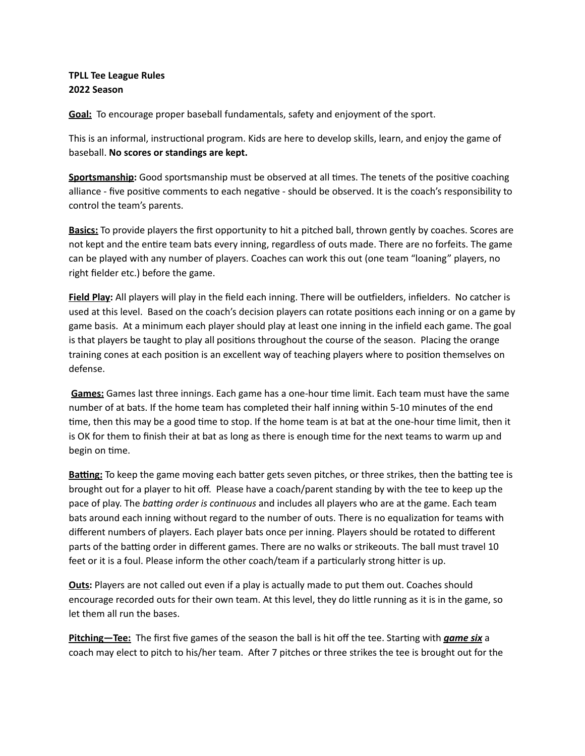## **TPLL Tee League Rules 2022 Season**

**Goal:** To encourage proper baseball fundamentals, safety and enjoyment of the sport.

This is an informal, instructional program. Kids are here to develop skills, learn, and enjoy the game of baseball. **No scores or standings are kept.**

Sportsmanship: Good sportsmanship must be observed at all times. The tenets of the positive coaching alliance - five positive comments to each negative - should be observed. It is the coach's responsibility to control the team's parents.

**Basics:** To provide players the first opportunity to hit a pitched ball, thrown gently by coaches. Scores are not kept and the entire team bats every inning, regardless of outs made. There are no forfeits. The game can be played with any number of players. Coaches can work this out (one team "loaning" players, no right fielder etc.) before the game.

**Field Play:** All players will play in the field each inning. There will be outfielders, infielders. No catcher is used at this level. Based on the coach's decision players can rotate positions each inning or on a game by game basis. At a minimum each player should play at least one inning in the infield each game. The goal is that players be taught to play all positions throughout the course of the season. Placing the orange training cones at each position is an excellent way of teaching players where to position themselves on defense.

Games: Games last three innings. Each game has a one-hour time limit. Each team must have the same number of at bats. If the home team has completed their half inning within 5-10 minutes of the end time, then this may be a good time to stop. If the home team is at bat at the one-hour time limit, then it is OK for them to finish their at bat as long as there is enough time for the next teams to warm up and begin on time.

Batting: To keep the game moving each batter gets seven pitches, or three strikes, then the batting tee is brought out for a player to hit off. Please have a coach/parent standing by with the tee to keep up the pace of play. The *batting order is continuous* and includes all players who are at the game. Each team bats around each inning without regard to the number of outs. There is no equalization for teams with different numbers of players. Each player bats once per inning. Players should be rotated to different parts of the batting order in different games. There are no walks or strikeouts. The ball must travel 10 feet or it is a foul. Please inform the other coach/team if a particularly strong hitter is up.

**Outs:** Players are not called out even if a play is actually made to put them out. Coaches should encourage recorded outs for their own team. At this level, they do little running as it is in the game, so let them all run the bases.

**Pitching—Tee:** The first five games of the season the ball is hit off the tee. Starting with *game six* a coach may elect to pitch to his/her team. After 7 pitches or three strikes the tee is brought out for the